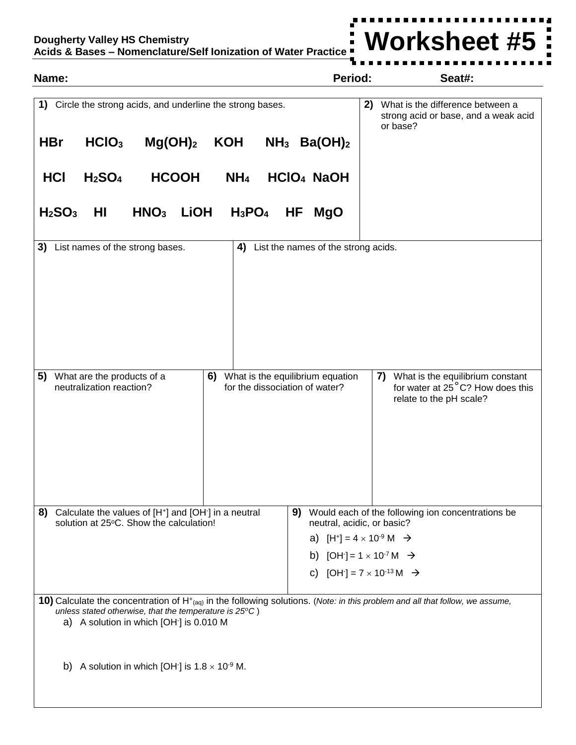**Dougherty Valley HS Chemistry Acids & Bases – Nomenclature/Self Ionization of Water Practice**

**Worksheet #5**

| Name:                                                                                                                                                                                        |                                                                                            | Period:                          | Seat#:                                                                                                      |  |  |  |  |
|----------------------------------------------------------------------------------------------------------------------------------------------------------------------------------------------|--------------------------------------------------------------------------------------------|----------------------------------|-------------------------------------------------------------------------------------------------------------|--|--|--|--|
| 1) Circle the strong acids, and underline the strong bases.                                                                                                                                  | What is the difference between a<br>2)<br>strong acid or base, and a weak acid<br>or base? |                                  |                                                                                                             |  |  |  |  |
| HCIO <sub>3</sub><br><b>HBr</b><br>Mg(OH) <sub>2</sub>                                                                                                                                       | <b>KOH</b>                                                                                 | $NH_3$ Ba(OH) <sub>2</sub>       |                                                                                                             |  |  |  |  |
|                                                                                                                                                                                              |                                                                                            |                                  |                                                                                                             |  |  |  |  |
| <b>HCI</b><br>H <sub>2</sub> SO <sub>4</sub><br><b>HCOOH</b>                                                                                                                                 | NH <sub>4</sub>                                                                            | HCIO <sub>4</sub> NaOH           |                                                                                                             |  |  |  |  |
| H <sub>2</sub> SO <sub>3</sub><br>HI<br>HNO <sub>3</sub><br>LiOH                                                                                                                             | $H_3PO_4$                                                                                  | HF<br><b>MgO</b>                 |                                                                                                             |  |  |  |  |
| 3) List names of the strong bases.<br>4)<br>List the names of the strong acids.                                                                                                              |                                                                                            |                                  |                                                                                                             |  |  |  |  |
|                                                                                                                                                                                              |                                                                                            |                                  |                                                                                                             |  |  |  |  |
|                                                                                                                                                                                              |                                                                                            |                                  |                                                                                                             |  |  |  |  |
|                                                                                                                                                                                              |                                                                                            |                                  |                                                                                                             |  |  |  |  |
|                                                                                                                                                                                              |                                                                                            |                                  |                                                                                                             |  |  |  |  |
|                                                                                                                                                                                              |                                                                                            |                                  |                                                                                                             |  |  |  |  |
| 5) What are the products of a                                                                                                                                                                | 6)                                                                                         | What is the equilibrium equation | 7)<br>What is the equilibrium constant                                                                      |  |  |  |  |
| neutralization reaction?                                                                                                                                                                     | for the dissociation of water?                                                             |                                  | for water at 25°C? How does this<br>relate to the pH scale?                                                 |  |  |  |  |
|                                                                                                                                                                                              |                                                                                            |                                  |                                                                                                             |  |  |  |  |
|                                                                                                                                                                                              |                                                                                            |                                  |                                                                                                             |  |  |  |  |
|                                                                                                                                                                                              |                                                                                            |                                  |                                                                                                             |  |  |  |  |
|                                                                                                                                                                                              |                                                                                            |                                  |                                                                                                             |  |  |  |  |
| Calculate the values of [H <sup>+</sup> ] and [OH <sup>-</sup> ] in a neutral<br>8)                                                                                                          |                                                                                            |                                  | 9) Would each of the following ion concentrations be                                                        |  |  |  |  |
| solution at 25°C. Show the calculation!                                                                                                                                                      |                                                                                            |                                  | neutral, acidic, or basic?<br>a) $[H^+] = 4 \times 10^{-9} M \rightarrow$                                   |  |  |  |  |
|                                                                                                                                                                                              |                                                                                            |                                  |                                                                                                             |  |  |  |  |
|                                                                                                                                                                                              |                                                                                            |                                  | b) [OH <sup>-</sup> ] = $1 \times 10^{-7}$ M $\rightarrow$<br>c) $[OH^-] = 7 \times 10^{-13} M \rightarrow$ |  |  |  |  |
|                                                                                                                                                                                              |                                                                                            |                                  |                                                                                                             |  |  |  |  |
| 10) Calculate the concentration of $H^*_{(aq)}$ in the following solutions. (Note: in this problem and all that follow, we assume,<br>unless stated otherwise, that the temperature is 25°C) |                                                                                            |                                  |                                                                                                             |  |  |  |  |
| a) A solution in which [OH <sup>-</sup> ] is 0.010 M                                                                                                                                         |                                                                                            |                                  |                                                                                                             |  |  |  |  |
|                                                                                                                                                                                              |                                                                                            |                                  |                                                                                                             |  |  |  |  |
| b) A solution in which [OH] is $1.8 \times 10^{9}$ M.                                                                                                                                        |                                                                                            |                                  |                                                                                                             |  |  |  |  |
|                                                                                                                                                                                              |                                                                                            |                                  |                                                                                                             |  |  |  |  |